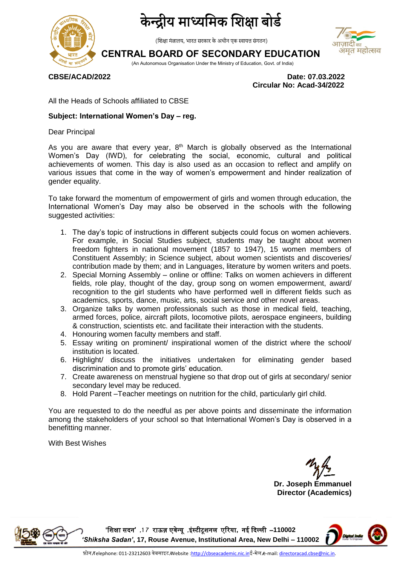



(शिक्षा मंत्रालय, भारत सरकार के अधीन एक स्वायत्त संगठन)

## **CENTRAL BOARD OF SECONDARY EDUCATION**



(An Autonomous Organisation Under the Ministry of Education, Govt. of India)

**CBSE/ACAD/2022 Date: 07.03.2022 Circular No: Acad-34/2022**

All the Heads of Schools affiliated to CBSE

### **Subject: International Women's Day – reg.**

Dear Principal

As you are aware that every year,  $8<sup>th</sup>$  March is globally observed as the International Women's Day (IWD), for celebrating the social, economic, cultural and political achievements of women. This day is also used as an occasion to reflect and amplify on various issues that come in the way of women's empowerment and hinder realization of gender equality.

To take forward the momentum of empowerment of girls and women through education, the International Women's Day may also be observed in the schools with the following suggested activities:

- 1. The day's topic of instructions in different subjects could focus on women achievers. For example, in Social Studies subject, students may be taught about women freedom fighters in national movement (1857 to 1947), 15 women members of Constituent Assembly; in Science subject, about women scientists and discoveries/ contribution made by them; and in Languages, literature by women writers and poets.
- 2. Special Morning Assembly online or offline: Talks on women achievers in different fields, role play, thought of the day, group song on women empowerment, award/ recognition to the girl students who have performed well in different fields such as academics, sports, dance, music, arts, social service and other novel areas.
- 3. Organize talks by women professionals such as those in medical field, teaching, armed forces, police, aircraft pilots, locomotive pilots, aerospace engineers, building & construction, scientists etc. and facilitate their interaction with the students.
- 4. Honouring women faculty members and staff.
- 5. Essay writing on prominent/ inspirational women of the district where the school/ institution is located.
- 6. Highlight/ discuss the initiatives undertaken for eliminating gender based discrimination and to promote girls' education.
- 7. Create awareness on menstrual hygiene so that drop out of girls at secondary/ senior secondary level may be reduced.
- 8. Hold Parent –Teacher meetings on nutrition for the child, particularly girl child.

You are requested to do the needful as per above points and disseminate the information among the stakeholders of your school so that International Women's Day is observed in a benefitting manner.

With Best Wishes

**Dr. Joseph Emmanuel Director (Academics)**



**'**शिक्षा सदन**' ,7 1** राऊज़ एवेन्यू **,**इंस्टीटूिनम एररया**,** नई ददल्मी –**110002**  *'Shiksha Sadan'***, 17, Rouse Avenue, Institutional Area, New Delhi – 110002**